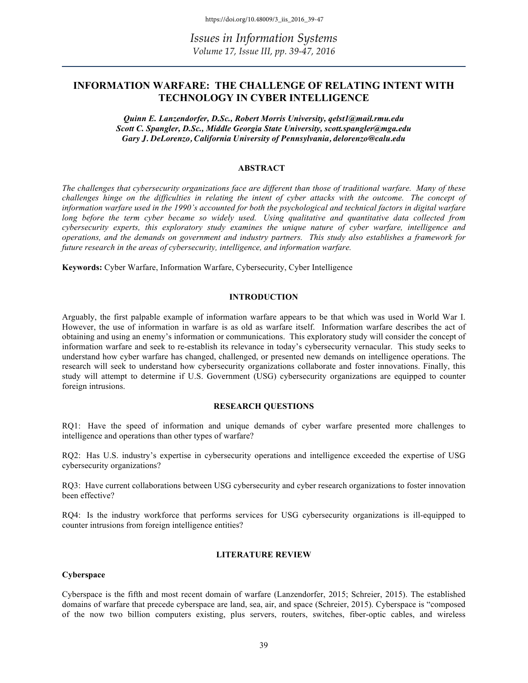# **INFORMATION WARFARE: THE CHALLENGE OF RELATING INTENT WITH TECHNOLOGY IN CYBER INTELLIGENCE**

*Quinn E. Lanzendorfer, D.Sc., Robert Morris University, qelst1@mail.rmu.edu Scott C. Spangler, D.Sc., Middle Georgia State University, scott.spangler@mga.edu Gary J. DeLorenzo, California University of Pennsylvania, delorenzo@calu.edu*

#### **ABSTRACT**

*The challenges that cybersecurity organizations face are different than those of traditional warfare. Many of these challenges hinge on the difficulties in relating the intent of cyber attacks with the outcome. The concept of information warfare used in the 1990's accounted for both the psychological and technical factors in digital warfare*  long before the term cyber became so widely used. Using qualitative and quantitative data collected from *cybersecurity experts, this exploratory study examines the unique nature of cyber warfare, intelligence and operations, and the demands on government and industry partners. This study also establishes a framework for future research in the areas of cybersecurity, intelligence, and information warfare.* 

**Keywords:** Cyber Warfare, Information Warfare, Cybersecurity, Cyber Intelligence

#### **INTRODUCTION**

Arguably, the first palpable example of information warfare appears to be that which was used in World War I. However, the use of information in warfare is as old as warfare itself. Information warfare describes the act of obtaining and using an enemy's information or communications. This exploratory study will consider the concept of information warfare and seek to re-establish its relevance in today's cybersecurity vernacular. This study seeks to understand how cyber warfare has changed, challenged, or presented new demands on intelligence operations. The research will seek to understand how cybersecurity organizations collaborate and foster innovations. Finally, this study will attempt to determine if U.S. Government (USG) cybersecurity organizations are equipped to counter foreign intrusions.

#### **RESEARCH QUESTIONS**

RQ1: Have the speed of information and unique demands of cyber warfare presented more challenges to intelligence and operations than other types of warfare?

RQ2: Has U.S. industry's expertise in cybersecurity operations and intelligence exceeded the expertise of USG cybersecurity organizations?

RQ3: Have current collaborations between USG cybersecurity and cyber research organizations to foster innovation been effective?

RQ4: Is the industry workforce that performs services for USG cybersecurity organizations is ill-equipped to counter intrusions from foreign intelligence entities?

#### **LITERATURE REVIEW**

#### **Cyberspace**

Cyberspace is the fifth and most recent domain of warfare (Lanzendorfer, 2015; Schreier, 2015). The established domains of warfare that precede cyberspace are land, sea, air, and space (Schreier, 2015). Cyberspace is "composed of the now two billion computers existing, plus servers, routers, switches, fiber-optic cables, and wireless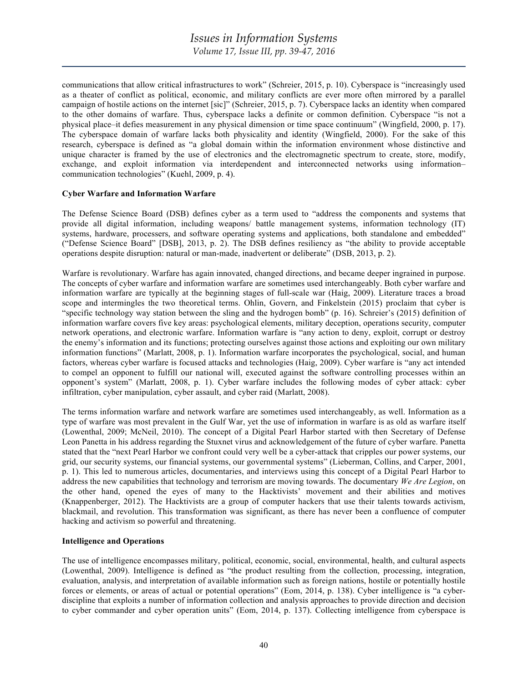communications that allow critical infrastructures to work" (Schreier, 2015, p. 10). Cyberspace is "increasingly used as a theater of conflict as political, economic, and military conflicts are ever more often mirrored by a parallel campaign of hostile actions on the internet [sic]" (Schreier, 2015, p. 7). Cyberspace lacks an identity when compared to the other domains of warfare. Thus, cyberspace lacks a definite or common definition. Cyberspace "is not a physical place–it defies measurement in any physical dimension or time space continuum" (Wingfield, 2000, p. 17). The cyberspace domain of warfare lacks both physicality and identity (Wingfield, 2000). For the sake of this research, cyberspace is defined as "a global domain within the information environment whose distinctive and unique character is framed by the use of electronics and the electromagnetic spectrum to create, store, modify, exchange, and exploit information via interdependent and interconnected networks using information– communication technologies" (Kuehl, 2009, p. 4).

### **Cyber Warfare and Information Warfare**

The Defense Science Board (DSB) defines cyber as a term used to "address the components and systems that provide all digital information, including weapons/ battle management systems, information technology (IT) systems, hardware, processers, and software operating systems and applications, both standalone and embedded" ("Defense Science Board" [DSB], 2013, p. 2). The DSB defines resiliency as "the ability to provide acceptable operations despite disruption: natural or man-made, inadvertent or deliberate" (DSB, 2013, p. 2).

Warfare is revolutionary. Warfare has again innovated, changed directions, and became deeper ingrained in purpose. The concepts of cyber warfare and information warfare are sometimes used interchangeably. Both cyber warfare and information warfare are typically at the beginning stages of full-scale war (Haig, 2009). Literature traces a broad scope and intermingles the two theoretical terms. Ohlin, Govern, and Finkelstein (2015) proclaim that cyber is "specific technology way station between the sling and the hydrogen bomb" (p. 16). Schreier's (2015) definition of information warfare covers five key areas: psychological elements, military deception, operations security, computer network operations, and electronic warfare. Information warfare is "any action to deny, exploit, corrupt or destroy the enemy's information and its functions; protecting ourselves against those actions and exploiting our own military information functions" (Marlatt, 2008, p. 1). Information warfare incorporates the psychological, social, and human factors, whereas cyber warfare is focused attacks and technologies (Haig, 2009). Cyber warfare is "any act intended to compel an opponent to fulfill our national will, executed against the software controlling processes within an opponent's system" (Marlatt, 2008, p. 1). Cyber warfare includes the following modes of cyber attack: cyber infiltration, cyber manipulation, cyber assault, and cyber raid (Marlatt, 2008).

The terms information warfare and network warfare are sometimes used interchangeably, as well. Information as a type of warfare was most prevalent in the Gulf War, yet the use of information in warfare is as old as warfare itself (Lowenthal, 2009; McNeil, 2010). The concept of a Digital Pearl Harbor started with then Secretary of Defense Leon Panetta in his address regarding the Stuxnet virus and acknowledgement of the future of cyber warfare. Panetta stated that the "next Pearl Harbor we confront could very well be a cyber-attack that cripples our power systems, our grid, our security systems, our financial systems, our governmental systems" (Lieberman, Collins, and Carper, 2001, p. 1). This led to numerous articles, documentaries, and interviews using this concept of a Digital Pearl Harbor to address the new capabilities that technology and terrorism are moving towards. The documentary *We Are Legion*, on the other hand, opened the eyes of many to the Hacktivists' movement and their abilities and motives (Knappenberger, 2012). The Hacktivists are a group of computer hackers that use their talents towards activism, blackmail, and revolution. This transformation was significant, as there has never been a confluence of computer hacking and activism so powerful and threatening.

### **Intelligence and Operations**

The use of intelligence encompasses military, political, economic, social, environmental, health, and cultural aspects (Lowenthal, 2009). Intelligence is defined as "the product resulting from the collection, processing, integration, evaluation, analysis, and interpretation of available information such as foreign nations, hostile or potentially hostile forces or elements, or areas of actual or potential operations" (Eom, 2014, p. 138). Cyber intelligence is "a cyberdiscipline that exploits a number of information collection and analysis approaches to provide direction and decision to cyber commander and cyber operation units" (Eom, 2014, p. 137). Collecting intelligence from cyberspace is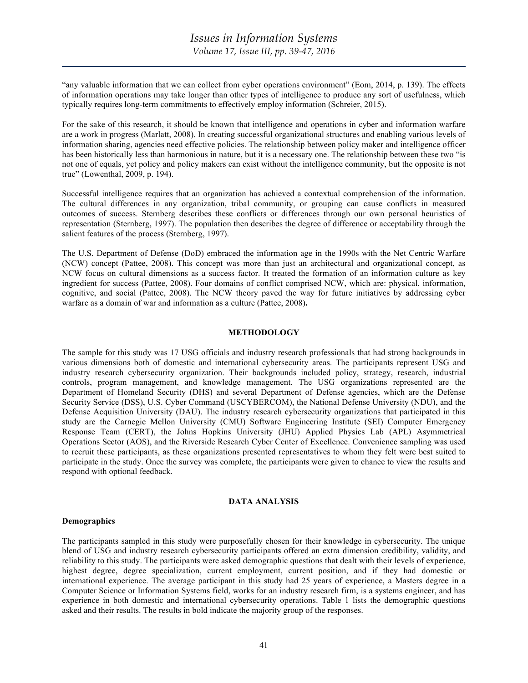"any valuable information that we can collect from cyber operations environment" (Eom, 2014, p. 139). The effects of information operations may take longer than other types of intelligence to produce any sort of usefulness, which typically requires long-term commitments to effectively employ information (Schreier, 2015).

For the sake of this research, it should be known that intelligence and operations in cyber and information warfare are a work in progress (Marlatt, 2008). In creating successful organizational structures and enabling various levels of information sharing, agencies need effective policies. The relationship between policy maker and intelligence officer has been historically less than harmonious in nature, but it is a necessary one. The relationship between these two "is not one of equals, yet policy and policy makers can exist without the intelligence community, but the opposite is not true" (Lowenthal, 2009, p. 194).

Successful intelligence requires that an organization has achieved a contextual comprehension of the information. The cultural differences in any organization, tribal community, or grouping can cause conflicts in measured outcomes of success. Sternberg describes these conflicts or differences through our own personal heuristics of representation (Sternberg, 1997). The population then describes the degree of difference or acceptability through the salient features of the process (Sternberg, 1997).

The U.S. Department of Defense (DoD) embraced the information age in the 1990s with the Net Centric Warfare (NCW) concept (Pattee, 2008). This concept was more than just an architectural and organizational concept, as NCW focus on cultural dimensions as a success factor. It treated the formation of an information culture as key ingredient for success (Pattee, 2008). Four domains of conflict comprised NCW, which are: physical, information, cognitive, and social (Pattee, 2008). The NCW theory paved the way for future initiatives by addressing cyber warfare as a domain of war and information as a culture (Pattee, 2008)**.**

#### **METHODOLOGY**

The sample for this study was 17 USG officials and industry research professionals that had strong backgrounds in various dimensions both of domestic and international cybersecurity areas. The participants represent USG and industry research cybersecurity organization. Their backgrounds included policy, strategy, research, industrial controls, program management, and knowledge management. The USG organizations represented are the Department of Homeland Security (DHS) and several Department of Defense agencies, which are the Defense Security Service (DSS), U.S. Cyber Command (USCYBERCOM), the National Defense University (NDU), and the Defense Acquisition University (DAU). The industry research cybersecurity organizations that participated in this study are the Carnegie Mellon University (CMU) Software Engineering Institute (SEI) Computer Emergency Response Team (CERT), the Johns Hopkins University (JHU) Applied Physics Lab (APL) Asymmetrical Operations Sector (AOS), and the Riverside Research Cyber Center of Excellence. Convenience sampling was used to recruit these participants, as these organizations presented representatives to whom they felt were best suited to participate in the study. Once the survey was complete, the participants were given to chance to view the results and respond with optional feedback.

#### **DATA ANALYSIS**

#### **Demographics**

The participants sampled in this study were purposefully chosen for their knowledge in cybersecurity. The unique blend of USG and industry research cybersecurity participants offered an extra dimension credibility, validity, and reliability to this study. The participants were asked demographic questions that dealt with their levels of experience, highest degree, degree specialization, current employment, current position, and if they had domestic or international experience. The average participant in this study had 25 years of experience, a Masters degree in a Computer Science or Information Systems field, works for an industry research firm, is a systems engineer, and has experience in both domestic and international cybersecurity operations. Table 1 lists the demographic questions asked and their results. The results in bold indicate the majority group of the responses.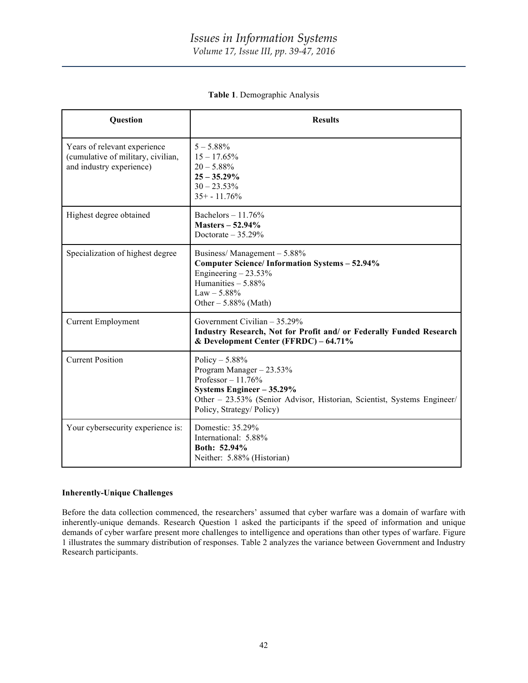| Question                                                                                       | <b>Results</b>                                                                                                                                                                                         |
|------------------------------------------------------------------------------------------------|--------------------------------------------------------------------------------------------------------------------------------------------------------------------------------------------------------|
| Years of relevant experience<br>(cumulative of military, civilian,<br>and industry experience) | $5 - 5.88\%$<br>$15 - 17.65\%$<br>$20 - 5.88\%$<br>$25 - 35.29\%$<br>$30 - 23.53\%$<br>$35+ - 11.76%$                                                                                                  |
| Highest degree obtained                                                                        | Bachelors $-11.76%$<br>Masters $-52.94\%$<br>Doctorate $-35.29%$                                                                                                                                       |
| Specialization of highest degree                                                               | Business/Management - 5.88%<br><b>Computer Science/Information Systems - 52.94%</b><br>Engineering $-23.53\%$<br>Humanities - 5.88%<br>$Law - 5.88\%$<br>Other $-5.88\%$ (Math)                        |
| <b>Current Employment</b>                                                                      | Government Civilian $-35.29\%$<br>Industry Research, Not for Profit and/ or Federally Funded Research<br>& Development Center (FFRDC) - 64.71%                                                         |
| <b>Current Position</b>                                                                        | Policy $-5.88%$<br>Program Manager - 23.53%<br>Professor $-11.76%$<br>Systems Engineer - 35.29%<br>Other - 23.53% (Senior Advisor, Historian, Scientist, Systems Engineer/<br>Policy, Strategy/Policy) |
| Your cybersecurity experience is:                                                              | Domestic: 35.29%<br>International: 5.88%<br>Both: 52.94%<br>Neither: 5.88% (Historian)                                                                                                                 |

**Table 1**. Demographic Analysis

### **Inherently-Unique Challenges**

Before the data collection commenced, the researchers' assumed that cyber warfare was a domain of warfare with inherently-unique demands. Research Question 1 asked the participants if the speed of information and unique demands of cyber warfare present more challenges to intelligence and operations than other types of warfare. Figure 1 illustrates the summary distribution of responses. Table 2 analyzes the variance between Government and Industry Research participants.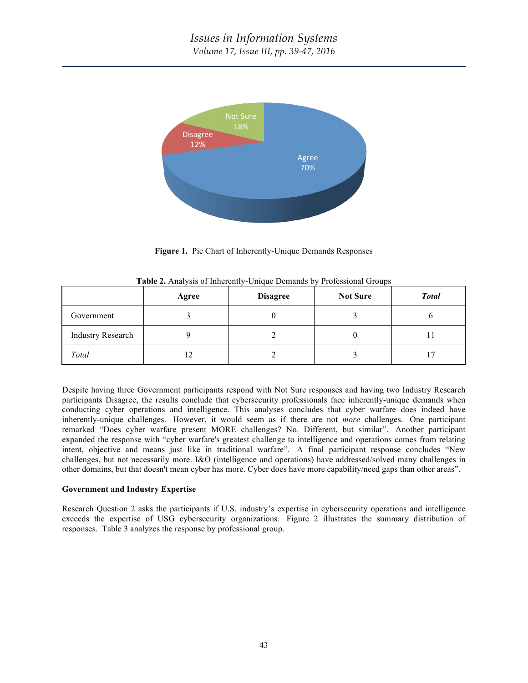

**Figure 1.** Pie Chart of Inherently-Unique Demands Responses

|                          | Agree | <b>Disagree</b> | <b>Not Sure</b> | <b>Total</b> |
|--------------------------|-------|-----------------|-----------------|--------------|
| Government               |       |                 |                 |              |
| <b>Industry Research</b> |       |                 |                 |              |
| Total                    | ר ו   |                 |                 |              |

**Table 2.** Analysis of Inherently-Unique Demands by Professional Groups

Despite having three Government participants respond with Not Sure responses and having two Industry Research participants Disagree, the results conclude that cybersecurity professionals face inherently-unique demands when conducting cyber operations and intelligence. This analyses concludes that cyber warfare does indeed have inherently-unique challenges. However, it would seem as if there are not *more* challenges. One participant remarked "Does cyber warfare present MORE challenges? No. Different, but similar". Another participant expanded the response with "cyber warfare's greatest challenge to intelligence and operations comes from relating intent, objective and means just like in traditional warfare". A final participant response concludes "New challenges, but not necessarily more. I&O (intelligence and operations) have addressed/solved many challenges in other domains, but that doesn't mean cyber has more. Cyber does have more capability/need gaps than other areas".

## **Government and Industry Expertise**

Research Question 2 asks the participants if U.S. industry's expertise in cybersecurity operations and intelligence exceeds the expertise of USG cybersecurity organizations. Figure 2 illustrates the summary distribution of responses. Table 3 analyzes the response by professional group.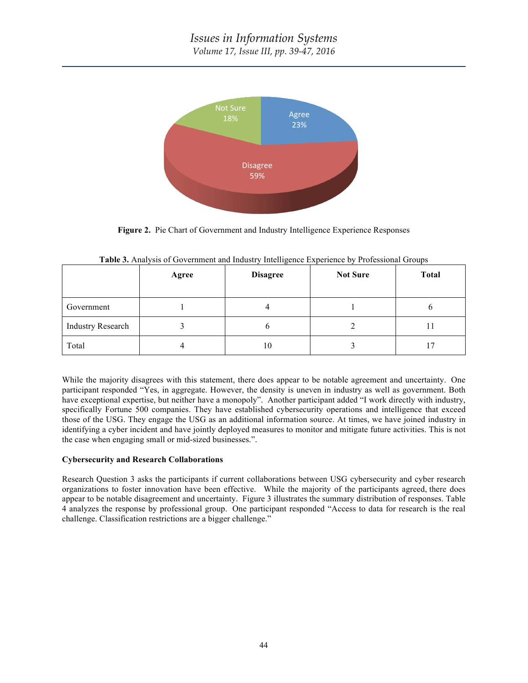

**Figure 2.** Pie Chart of Government and Industry Intelligence Experience Responses

|                          | Agree | <b>Disagree</b> | <b>Not Sure</b> | <b>Total</b> |
|--------------------------|-------|-----------------|-----------------|--------------|
| Government               |       |                 |                 | n            |
| <b>Industry Research</b> |       |                 |                 | 11           |
| Total                    |       | 10              |                 |              |

|  |  |  |  |  | Table 3. Analysis of Government and Industry Intelligence Experience by Professional Groups |
|--|--|--|--|--|---------------------------------------------------------------------------------------------|
|--|--|--|--|--|---------------------------------------------------------------------------------------------|

While the majority disagrees with this statement, there does appear to be notable agreement and uncertainty. One participant responded "Yes, in aggregate. However, the density is uneven in industry as well as government. Both have exceptional expertise, but neither have a monopoly". Another participant added "I work directly with industry, specifically Fortune 500 companies. They have established cybersecurity operations and intelligence that exceed those of the USG. They engage the USG as an additional information source. At times, we have joined industry in identifying a cyber incident and have jointly deployed measures to monitor and mitigate future activities. This is not the case when engaging small or mid-sized businesses.".

### **Cybersecurity and Research Collaborations**

Research Question 3 asks the participants if current collaborations between USG cybersecurity and cyber research organizations to foster innovation have been effective. While the majority of the participants agreed, there does appear to be notable disagreement and uncertainty. Figure 3 illustrates the summary distribution of responses. Table 4 analyzes the response by professional group. One participant responded "Access to data for research is the real challenge. Classification restrictions are a bigger challenge."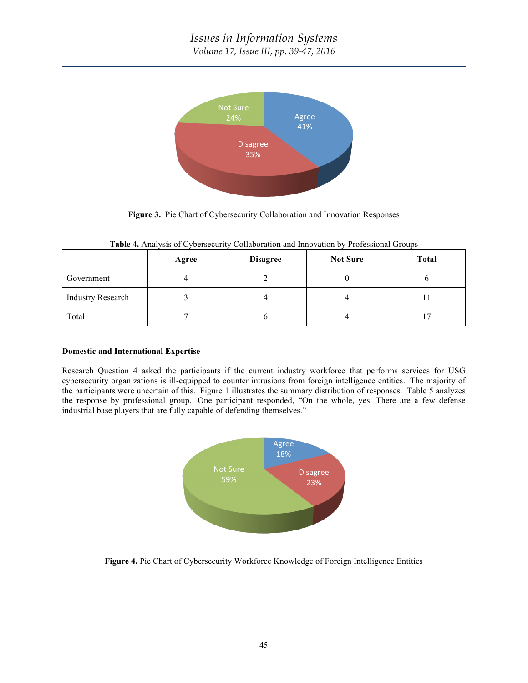

**Figure 3.** Pie Chart of Cybersecurity Collaboration and Innovation Responses

|                          | Agree | <b>Disagree</b> | <b>Not Sure</b> | <b>Total</b> |
|--------------------------|-------|-----------------|-----------------|--------------|
| Government               |       |                 |                 |              |
| <b>Industry Research</b> |       |                 |                 |              |
| Total                    |       |                 | 4               |              |

**Table 4.** Analysis of Cybersecurity Collaboration and Innovation by Professional Groups

### **Domestic and International Expertise**

Research Question 4 asked the participants if the current industry workforce that performs services for USG cybersecurity organizations is ill-equipped to counter intrusions from foreign intelligence entities. The majority of the participants were uncertain of this. Figure 1 illustrates the summary distribution of responses. Table 5 analyzes the response by professional group. One participant responded, "On the whole, yes. There are a few defense industrial base players that are fully capable of defending themselves."



**Figure 4.** Pie Chart of Cybersecurity Workforce Knowledge of Foreign Intelligence Entities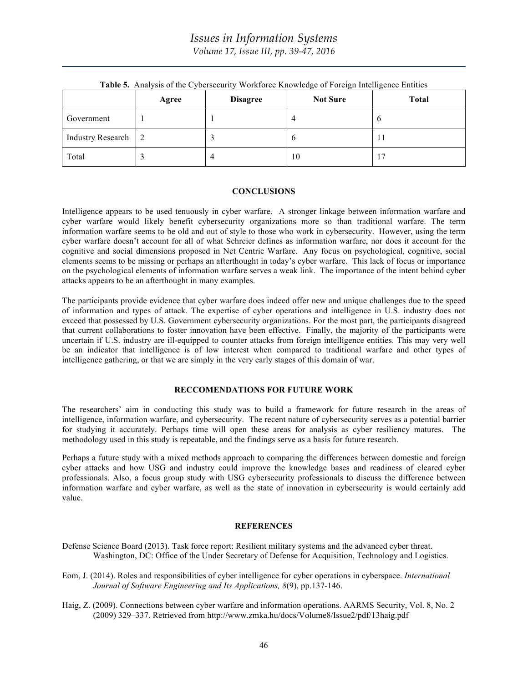|                          | Agree | <b>Disagree</b> | <b>Not Sure</b> | <b>Total</b> |
|--------------------------|-------|-----------------|-----------------|--------------|
| Government               |       |                 |                 | O            |
| <b>Industry Research</b> |       |                 |                 |              |
| Total                    |       | 4               | 10              |              |

**Table 5.** Analysis of the Cybersecurity Workforce Knowledge of Foreign Intelligence Entities

#### **CONCLUSIONS**

Intelligence appears to be used tenuously in cyber warfare. A stronger linkage between information warfare and cyber warfare would likely benefit cybersecurity organizations more so than traditional warfare. The term information warfare seems to be old and out of style to those who work in cybersecurity. However, using the term cyber warfare doesn't account for all of what Schreier defines as information warfare, nor does it account for the cognitive and social dimensions proposed in Net Centric Warfare. Any focus on psychological, cognitive, social elements seems to be missing or perhaps an afterthought in today's cyber warfare. This lack of focus or importance on the psychological elements of information warfare serves a weak link. The importance of the intent behind cyber attacks appears to be an afterthought in many examples.

The participants provide evidence that cyber warfare does indeed offer new and unique challenges due to the speed of information and types of attack. The expertise of cyber operations and intelligence in U.S. industry does not exceed that possessed by U.S. Government cybersecurity organizations. For the most part, the participants disagreed that current collaborations to foster innovation have been effective. Finally, the majority of the participants were uncertain if U.S. industry are ill-equipped to counter attacks from foreign intelligence entities. This may very well be an indicator that intelligence is of low interest when compared to traditional warfare and other types of intelligence gathering, or that we are simply in the very early stages of this domain of war.

### **RECCOMENDATIONS FOR FUTURE WORK**

The researchers' aim in conducting this study was to build a framework for future research in the areas of intelligence, information warfare, and cybersecurity. The recent nature of cybersecurity serves as a potential barrier for studying it accurately. Perhaps time will open these areas for analysis as cyber resiliency matures. The methodology used in this study is repeatable, and the findings serve as a basis for future research.

Perhaps a future study with a mixed methods approach to comparing the differences between domestic and foreign cyber attacks and how USG and industry could improve the knowledge bases and readiness of cleared cyber professionals. Also, a focus group study with USG cybersecurity professionals to discuss the difference between information warfare and cyber warfare, as well as the state of innovation in cybersecurity is would certainly add value.

### **REFERENCES**

- Defense Science Board (2013). Task force report: Resilient military systems and the advanced cyber threat. Washington, DC: Office of the Under Secretary of Defense for Acquisition, Technology and Logistics.
- Eom, J. (2014). Roles and responsibilities of cyber intelligence for cyber operations in cyberspace. *International Journal of Software Engineering and Its Applications, 8*(9), pp.137-146.
- Haig, Z. (2009). Connections between cyber warfare and information operations. AARMS Security, Vol. 8, No. 2 (2009) 329–337. Retrieved from http://www.zmka.hu/docs/Volume8/Issue2/pdf/13haig.pdf